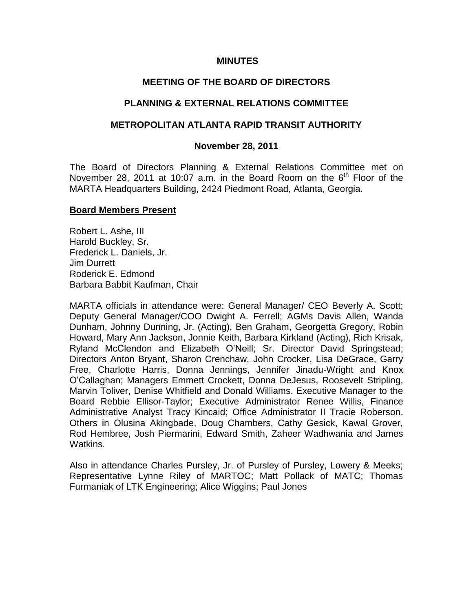### **MINUTES**

# **MEETING OF THE BOARD OF DIRECTORS**

# **PLANNING & EXTERNAL RELATIONS COMMITTEE**

# **METROPOLITAN ATLANTA RAPID TRANSIT AUTHORITY**

## **November 28, 2011**

The Board of Directors Planning & External Relations Committee met on November 28, 2011 at 10:07 a.m. in the Board Room on the  $6<sup>th</sup>$  Floor of the MARTA Headquarters Building, 2424 Piedmont Road, Atlanta, Georgia.

### **Board Members Present**

Robert L. Ashe, III Harold Buckley, Sr. Frederick L. Daniels, Jr. Jim Durrett Roderick E. Edmond Barbara Babbit Kaufman, Chair

MARTA officials in attendance were: General Manager/ CEO Beverly A. Scott; Deputy General Manager/COO Dwight A. Ferrell; AGMs Davis Allen, Wanda Dunham, Johnny Dunning, Jr. (Acting), Ben Graham, Georgetta Gregory, Robin Howard, Mary Ann Jackson, Jonnie Keith, Barbara Kirkland (Acting), Rich Krisak, Ryland McClendon and Elizabeth O'Neill; Sr. Director David Springstead; Directors Anton Bryant, Sharon Crenchaw, John Crocker, Lisa DeGrace, Garry Free, Charlotte Harris, Donna Jennings, Jennifer Jinadu-Wright and Knox O'Callaghan; Managers Emmett Crockett, Donna DeJesus, Roosevelt Stripling, Marvin Toliver, Denise Whitfield and Donald Williams. Executive Manager to the Board Rebbie Ellisor-Taylor; Executive Administrator Renee Willis, Finance Administrative Analyst Tracy Kincaid; Office Administrator II Tracie Roberson. Others in Olusina Akingbade, Doug Chambers, Cathy Gesick, Kawal Grover, Rod Hembree, Josh Piermarini, Edward Smith, Zaheer Wadhwania and James Watkins.

Also in attendance Charles Pursley, Jr. of Pursley of Pursley, Lowery & Meeks; Representative Lynne Riley of MARTOC; Matt Pollack of MATC; Thomas Furmaniak of LTK Engineering; Alice Wiggins; Paul Jones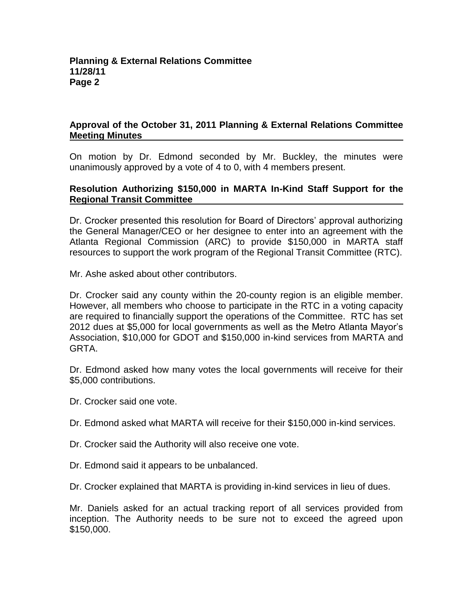# **Approval of the October 31, 2011 Planning & External Relations Committee Meeting Minutes**

On motion by Dr. Edmond seconded by Mr. Buckley, the minutes were unanimously approved by a vote of 4 to 0, with 4 members present.

## **Resolution Authorizing \$150,000 in MARTA In-Kind Staff Support for the Regional Transit Committee**

Dr. Crocker presented this resolution for Board of Directors' approval authorizing the General Manager/CEO or her designee to enter into an agreement with the Atlanta Regional Commission (ARC) to provide \$150,000 in MARTA staff resources to support the work program of the Regional Transit Committee (RTC).

Mr. Ashe asked about other contributors.

Dr. Crocker said any county within the 20-county region is an eligible member. However, all members who choose to participate in the RTC in a voting capacity are required to financially support the operations of the Committee. RTC has set 2012 dues at \$5,000 for local governments as well as the Metro Atlanta Mayor's Association, \$10,000 for GDOT and \$150,000 in-kind services from MARTA and GRTA.

Dr. Edmond asked how many votes the local governments will receive for their \$5,000 contributions.

Dr. Crocker said one vote.

Dr. Edmond asked what MARTA will receive for their \$150,000 in-kind services.

- Dr. Crocker said the Authority will also receive one vote.
- Dr. Edmond said it appears to be unbalanced.

Dr. Crocker explained that MARTA is providing in-kind services in lieu of dues.

Mr. Daniels asked for an actual tracking report of all services provided from inception. The Authority needs to be sure not to exceed the agreed upon \$150,000.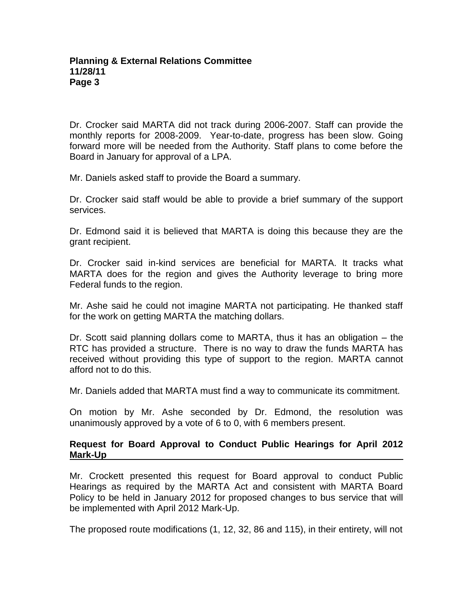Dr. Crocker said MARTA did not track during 2006-2007. Staff can provide the monthly reports for 2008-2009. Year-to-date, progress has been slow. Going forward more will be needed from the Authority. Staff plans to come before the Board in January for approval of a LPA.

Mr. Daniels asked staff to provide the Board a summary.

Dr. Crocker said staff would be able to provide a brief summary of the support services.

Dr. Edmond said it is believed that MARTA is doing this because they are the grant recipient.

Dr. Crocker said in-kind services are beneficial for MARTA. It tracks what MARTA does for the region and gives the Authority leverage to bring more Federal funds to the region.

Mr. Ashe said he could not imagine MARTA not participating. He thanked staff for the work on getting MARTA the matching dollars.

Dr. Scott said planning dollars come to MARTA, thus it has an obligation – the RTC has provided a structure. There is no way to draw the funds MARTA has received without providing this type of support to the region. MARTA cannot afford not to do this.

Mr. Daniels added that MARTA must find a way to communicate its commitment.

On motion by Mr. Ashe seconded by Dr. Edmond, the resolution was unanimously approved by a vote of 6 to 0, with 6 members present.

# **Request for Board Approval to Conduct Public Hearings for April 2012 Mark-Up**

Mr. Crockett presented this request for Board approval to conduct Public Hearings as required by the MARTA Act and consistent with MARTA Board Policy to be held in January 2012 for proposed changes to bus service that will be implemented with April 2012 Mark-Up.

The proposed route modifications (1, 12, 32, 86 and 115), in their entirety, will not